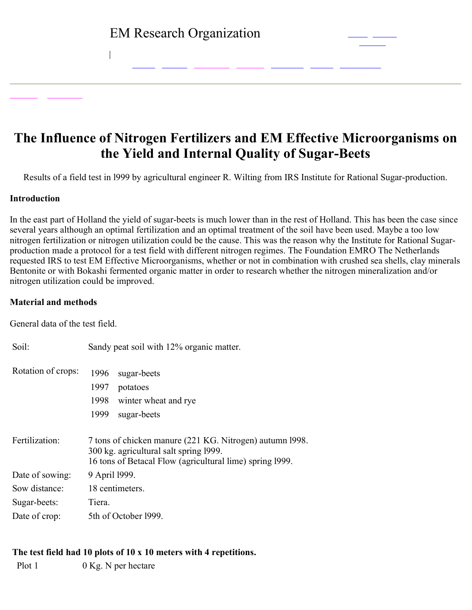$\Big\}$ 

# **The Influence of Nitrogen Fertilizers and EM Effective Microorganisms on the Yield and Internal Quality of Sugar-Beets**

Results of a field test in 1999 by agricultural engineer R. Wilting from IRS Institute for Rational Sugar-production.

### **Introduction**

In the east part of Holland the yield of sugar-beets is much lower than in the rest of Holland. This has been the case since several years although an optimal fertilization and an optimal treatment of the soil have been used. Maybe a too low nitrogen fertilization or nitrogen utilization could be the cause. This was the reason why the Institute for Rational Sugar production made a protocol for a test field with different nitrogen regimes. The Foundation EMRO The Netherlands requested IRS to test EM Effective Microorganisms, whether or not in combination with crushed sea shells, clay minerals Bentonite or with Bokashi fermented organic matter in order to research whether the nitrogen mineralization and/or nitrogen utilization could be improved.

#### **Material and methods**

General data of the test field.

| Soil:              | Sandy peat soil with 12% organic matter.                                                                                                                       |  |  |
|--------------------|----------------------------------------------------------------------------------------------------------------------------------------------------------------|--|--|
| Rotation of crops: | 1996<br>sugar-beets<br>1997<br>potatoes<br>1998<br>winter wheat and rye<br>1999<br>sugar-beets                                                                 |  |  |
| Fertilization:     | 7 tons of chicken manure (221 KG. Nitrogen) autumn 1998.<br>300 kg. agricultural salt spring 1999.<br>16 tons of Betacal Flow (agricultural lime) spring 1999. |  |  |
| Date of sowing:    | 9 April 1999.                                                                                                                                                  |  |  |
| Sow distance:      | 18 centimeters.                                                                                                                                                |  |  |
| Sugar-beets:       | Tiera.                                                                                                                                                         |  |  |
| Date of crop:      | 5th of October 1999.                                                                                                                                           |  |  |

#### **The test field had 10 plots of 10 x 10 meters with 4 repetitions.**

Plot 1 0 Kg. N per hectare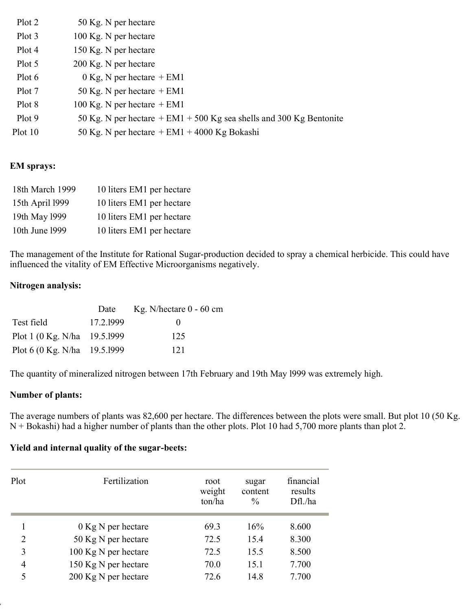| Plot 2  | 50 Kg. N per hectare                                                    |
|---------|-------------------------------------------------------------------------|
| Plot 3  | 100 Kg. N per hectare                                                   |
| Plot 4  | 150 Kg. N per hectare                                                   |
| Plot 5  | 200 Kg. N per hectare                                                   |
| Plot 6  | $0$ Kg, N per hectare + EM1                                             |
| Plot 7  | 50 Kg. N per hectare $+$ EM1                                            |
| Plot 8  | 100 Kg. N per hectare $+$ EM1                                           |
| Plot 9  | 50 Kg. N per hectare $+$ EM1 $+$ 500 Kg sea shells and 300 Kg Bentonite |
| Plot 10 | 50 Kg. N per hectare $+$ EM1 $+$ 4000 Kg Bokashi                        |

#### **EM sprays:**

| 18th March 1999 | 10 liters EM1 per hectare |
|-----------------|---------------------------|
| 15th April 1999 | 10 liters EM1 per hectare |
| 19th May 1999   | 10 liters EM1 per hectare |
| 10th June 1999  | 10 liters EM1 per hectare |

The management of the Institute for Rational Sugar-production decided to spray a chemical herbicide. This could have influenced the vitality of EM Effective Microorganisms negatively.

#### **Nitrogen analysis:**

|                                | Date      | Kg. N/hectare $0 - 60$ cm |
|--------------------------------|-----------|---------------------------|
| Test field                     | 17.2.1999 | $\mathbf{0}$              |
| Plot 1 (0 Kg, N/ha $19.5.1999$ |           | 125                       |
| Plot 6 (0 Kg. N/ha 19.5.1999   |           | 121                       |

The quantity of mineralized nitrogen between 17th February and 19th May l999 was extremely high.

#### **Number of plants:**

http://w

The average numbers of plants was 82,600 per hectare. The differences between the plots were small. But plot 10 (50 Kg.  $N + Bokashi$ ) had a higher number of plants than the other plots. Plot 10 had 5,700 more plants than plot 2.

#### **Yield** and internal quality of the sugar-beets:

| Plot           | Fertilization        | root<br>weight<br>ton/ha | sugar<br>content<br>$\frac{0}{0}$ | financial<br>results<br>Dfl./ha |
|----------------|----------------------|--------------------------|-----------------------------------|---------------------------------|
|                | $0$ Kg N per hectare | 69.3                     | 16%                               | 8.600                           |
| $\overline{2}$ | 50 Kg N per hectare  | 72.5                     | 15.4                              | 8.300                           |
| 3              | 100 Kg N per hectare | 72.5                     | 15.5                              | 8.500                           |
| $\overline{4}$ | 150 Kg N per hectare | 70.0                     | 15.1                              | 7.700                           |
| 5              | 200 Kg N per hectare | 72.6                     | 14.8                              | 7.700                           |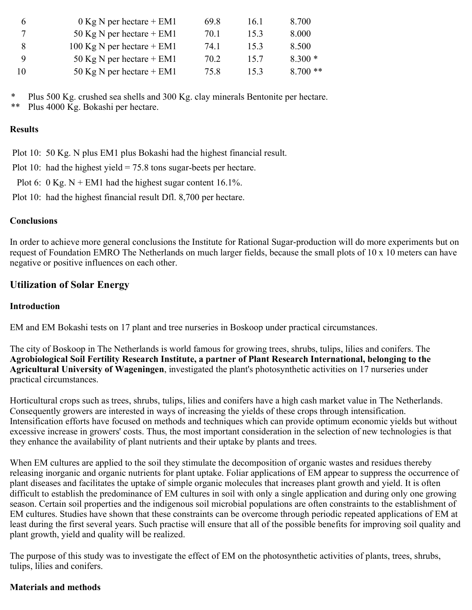| $\mathfrak{h}$ | $0$ Kg N per hectare + EM1   | 69.8 | 16.1 | 8.700    |  |
|----------------|------------------------------|------|------|----------|--|
|                | 50 Kg N per hectare $+$ EM1  | 70.1 | 153  | 8.000    |  |
| -8             | 100 Kg N per hectare $+$ EM1 | 74.1 | 153  | 8.500    |  |
|                | 50 Kg N per hectare $+$ EM1  | 70.2 | 157  | $8.300*$ |  |
| 10             | 50 Kg N per hectare $+$ EM1  | 75 8 | 153  | $8700**$ |  |

\* Plus 500 Kg. crushed sea shells and 300 Kg. clay minerals Bentonite per hectare.

\*\* Plus 4000 Kg. Bokashi per hectare.

#### **Results**

Plot 10: 50 Kg. N plus EM1 plus Bokashi had the highest financial result.

Plot 10: had the highest yield  $= 75.8$  tons sugar-beets per hectare.

Plot 6:  $0$  Kg, N + EM1 had the highest sugar content 16.1%.

Plot 10: had the highest financial result Dfl. 8,700 per hectare.

#### **Conclusions**

In order to achieve more general conclusions the Institute for Rational Sugar-production will do more experiments but on request of Foundation EMRO The Netherlands on much larger fields, because the small plots of 10 x 10 meters can have negative or positive influences on each other.

# **Utilization of Solar Energy**

#### **Introduction**

EM and EM Bokashi tests on 17 plant and tree nurseries in Boskoop under practical circumstances.

The city of Boskoop in The Netherlands is world famous for growing trees, shrubs, tulips, lilies and conifers. The **Agrobiological Soil Fertility Research Institute, a partner of Plant Research International, belonging to the Agricultural University of Wageningen**, investigated the plant's photosynthetic activities on 17 nurseries under practical circumstances.

Horticultural crops such as trees, shrubs, tulips, lilies and conifers have a high cash market value in The Netherlands. Consequently growers are interested in ways of increasing the yields of these crops through intensification. Intensification efforts have focused on methods and techniques which can provide optimum economic yields but without excessive increase in growers' costs. Thus, the most important consideration in the selection of new technologies is that they enhance the availability of plant nutrients and their uptake by plants and trees.

When EM cultures are applied to the soil they stimulate the decomposition of organic wastes and residues thereby releasing inorganic and organic nutrients for plant uptake. Foliar applications of EM appear to suppress the occurrence of plant diseases and facilitates the uptake of simple organic molecules that increases plant growth and yield. It is often difficult to establish the predominance of EM cultures in soil with only a single application and during only one growing season. Certain soil properties and the indigenous soil microbial populations are often constraints to the establishment of EM cultures. Studies have shown that these constraints can be overcome through periodic repeated applications of EM at least during the first several years. Such practise will ensure that all of the possible benefits for improving soil quality and plant growth, yield and quality will be realized.

The purpose of this study was to investigate the effect of EM on the photosynthetic activities of plants, trees, shrubs, tulips, lilies and conifers.

#### **Materials and methods**